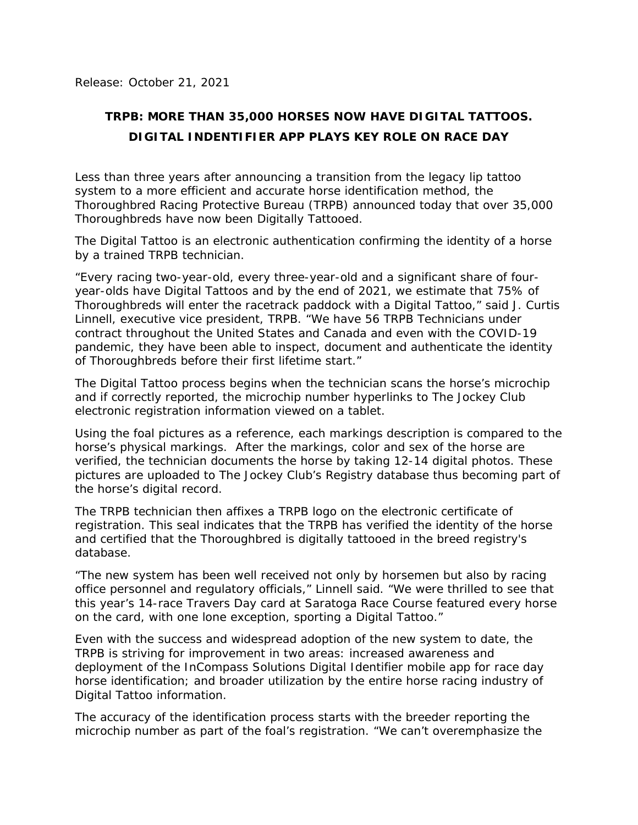Release: October 21, 2021

## **TRPB: MORE THAN 35,000 HORSES NOW HAVE DIGITAL TATTOOS. DIGITAL INDENTIFIER APP PLAYS KEY ROLE ON RACE DAY**

Less than three years after announcing a transition from the legacy lip tattoo system to a more efficient and accurate horse identification method, the Thoroughbred Racing Protective Bureau (TRPB) announced today that over 35,000 Thoroughbreds have now been Digitally Tattooed.

The Digital Tattoo is an electronic authentication confirming the identity of a horse by a trained TRPB technician.

"Every racing two-year-old, every three-year-old and a significant share of fouryear-olds have Digital Tattoos and by the end of 2021, we estimate that 75% of Thoroughbreds will enter the racetrack paddock with a Digital Tattoo," said J. Curtis Linnell, executive vice president, TRPB. "We have 56 TRPB Technicians under contract throughout the United States and Canada and even with the COVID-19 pandemic, they have been able to inspect, document and authenticate the identity of Thoroughbreds before their first lifetime start."

The Digital Tattoo process begins when the technician scans the horse's microchip and if correctly reported, the microchip number hyperlinks to The Jockey Club electronic registration information viewed on a tablet.

Using the foal pictures as a reference, each markings description is compared to the horse's physical markings. After the markings, color and sex of the horse are verified, the technician documents the horse by taking 12-14 digital photos. These pictures are uploaded to The Jockey Club's Registry database thus becoming part of the horse's digital record.

The TRPB technician then affixes a TRPB logo on the electronic certificate of registration. This seal indicates that the TRPB has verified the identity of the horse and certified that the Thoroughbred is digitally tattooed in the breed registry's database.

"The new system has been well received not only by horsemen but also by racing office personnel and regulatory officials," Linnell said. "We were thrilled to see that this year's 14-race Travers Day card at Saratoga Race Course featured every horse on the card, with one lone exception, sporting a Digital Tattoo."

Even with the success and widespread adoption of the new system to date, the TRPB is striving for improvement in two areas: increased awareness and deployment of the InCompass Solutions Digital Identifier mobile app for race day horse identification; and broader utilization by the entire horse racing industry of Digital Tattoo information.

The accuracy of the identification process starts with the breeder reporting the microchip number as part of the foal's registration. "We can't overemphasize the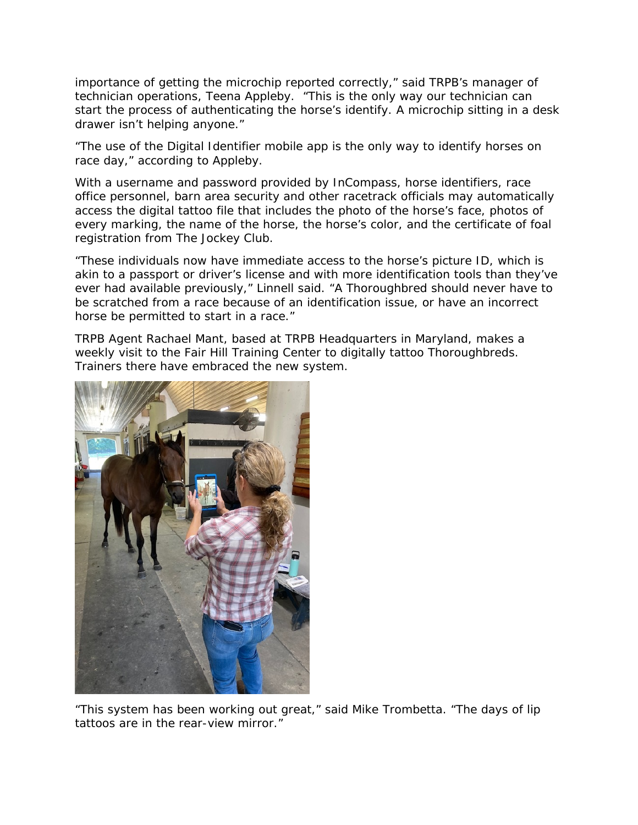importance of getting the microchip reported correctly," said TRPB's manager of technician operations, Teena Appleby. "This is the only way our technician can start the process of authenticating the horse's identify. A microchip sitting in a desk drawer isn't helping anyone."

"The use of the Digital Identifier mobile app is the only way to identify horses on race day," according to Appleby.

With a username and password provided by InCompass, horse identifiers, race office personnel, barn area security and other racetrack officials may automatically access the digital tattoo file that includes the photo of the horse's face, photos of every marking, the name of the horse, the horse's color, and the certificate of foal registration from The Jockey Club.

"These individuals now have immediate access to the horse's picture ID, which is akin to a passport or driver's license and with more identification tools than they've ever had available previously," Linnell said. "A Thoroughbred should never have to be scratched from a race because of an identification issue, or have an incorrect horse be permitted to start in a race."

TRPB Agent Rachael Mant, based at TRPB Headquarters in Maryland, makes a weekly visit to the Fair Hill Training Center to digitally tattoo Thoroughbreds. Trainers there have embraced the new system.



"This system has been working out great," said Mike Trombetta. "The days of lip tattoos are in the rear-view mirror."